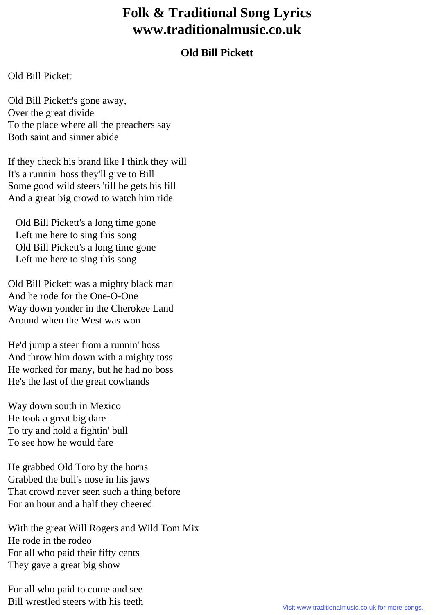## **Folk & Traditional Song Lyrics www.traditionalmusic.co.uk**

## **Old Bill Pickett**

## Old Bill Pickett

Old Bill Pickett's gone away, Over the great divide To the place where all the preachers say Both saint and sinner abide

If they check his brand like I think they will It's a runnin' hoss they'll give to Bill Some good wild steers 'till he gets his fill And a great big crowd to watch him ride

 Old Bill Pickett's a long time gone Left me here to sing this song Old Bill Pickett's a long time gone Left me here to sing this song

Old Bill Pickett was a mighty black man And he rode for the One-O-One Way down yonder in the Cherokee Land Around when the West was won

He'd jump a steer from a runnin' hoss And throw him down with a mighty toss He worked for many, but he had no boss He's the last of the great cowhands

Way down south in Mexico He took a great big dare To try and hold a fightin' bull To see how he would fare

He grabbed Old Toro by the horns Grabbed the bull's nose in his jaws That crowd never seen such a thing before For an hour and a half they cheered

With the great Will Rogers and Wild Tom Mix He rode in the rodeo For all who paid their fifty cents They gave a great big show

For all who paid to come and see Bill wrestled steers with his teeth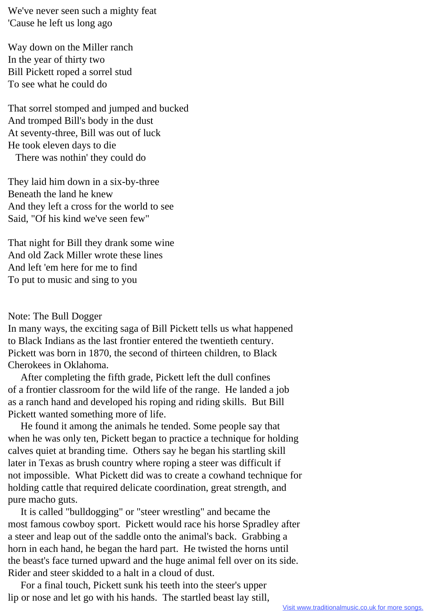We've never seen such a mighty feat 'Cause he left us long ago

Way down on the Miller ranch In the year of thirty two Bill Pickett roped a sorrel stud To see what he could do

That sorrel stomped and jumped and bucked And tromped Bill's body in the dust At seventy-three, Bill was out of luck He took eleven days to die

There was nothin' they could do

They laid him down in a six-by-three Beneath the land he knew And they left a cross for the world to see Said, "Of his kind we've seen few"

That night for Bill they drank some wine And old Zack Miller wrote these lines And left 'em here for me to find To put to music and sing to you

## Note: The Bull Dogger

In many ways, the exciting saga of Bill Pickett tells us what happened to Black Indians as the last frontier entered the twentieth century. Pickett was born in 1870, the second of thirteen children, to Black Cherokees in Oklahoma.

 After completing the fifth grade, Pickett left the dull confines of a frontier classroom for the wild life of the range. He landed a job as a ranch hand and developed his roping and riding skills. But Bill Pickett wanted something more of life.

 He found it among the animals he tended. Some people say that when he was only ten, Pickett began to practice a technique for holding calves quiet at branding time. Others say he began his startling skill later in Texas as brush country where roping a steer was difficult if not impossible. What Pickett did was to create a cowhand technique for holding cattle that required delicate coordination, great strength, and pure macho guts.

 It is called "bulldogging" or "steer wrestling" and became the most famous cowboy sport. Pickett would race his horse Spradley after a steer and leap out of the saddle onto the animal's back. Grabbing a horn in each hand, he began the hard part. He twisted the horns until the beast's face turned upward and the huge animal fell over on its side. Rider and steer skidded to a halt in a cloud of dust.

 For a final touch, Pickett sunk his teeth into the steer's upper lip or nose and let go with his hands. The startled beast lay still,